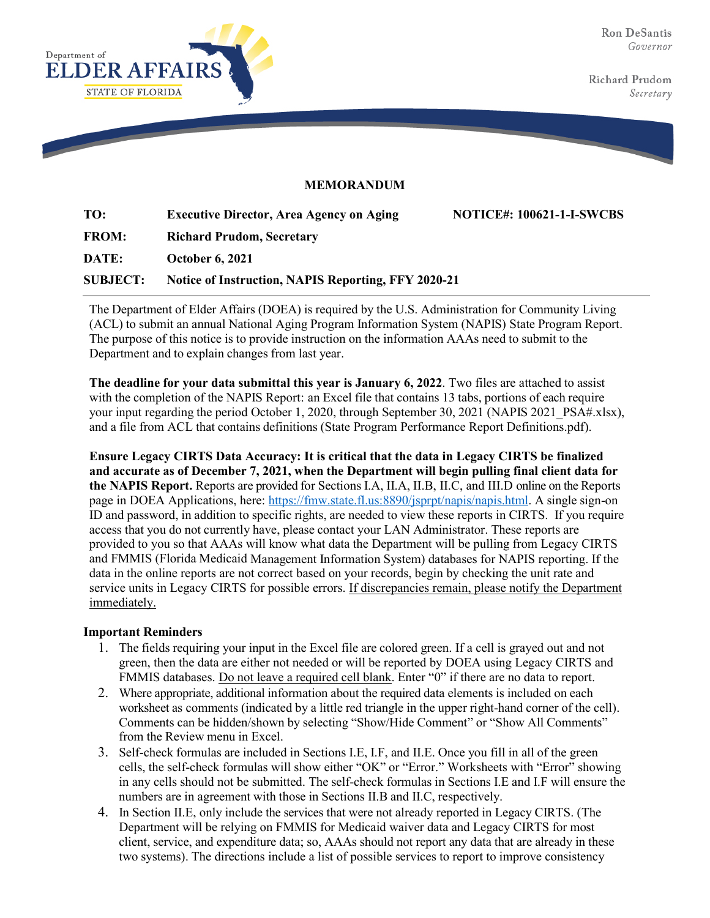

Richard Prudom Secretary

## **MEMORANDUM**

| TO:             | <b>Executive Director, Area Agency on Aging</b>            | <b>NOTICE#: 100621-1-I-SWCBS</b> |
|-----------------|------------------------------------------------------------|----------------------------------|
| <b>FROM:</b>    | <b>Richard Prudom, Secretary</b>                           |                                  |
| <b>DATE:</b>    | <b>October 6, 2021</b>                                     |                                  |
| <b>SUBJECT:</b> | <b>Notice of Instruction, NAPIS Reporting, FFY 2020-21</b> |                                  |

The Department of Elder Affairs (DOEA) is required by the U.S. Administration for Community Living (ACL) to submit an annual National Aging Program Information System (NAPIS) State Program Report. The purpose of this notice is to provide instruction on the information AAAs need to submit to the Department and to explain changes from last year.

**The deadline for your data submittal this year is January 6, 2022**. Two files are attached to assist with the completion of the NAPIS Report: an Excel file that contains 13 tabs, portions of each require your input regarding the period October 1, 2020, through September 30, 2021 (NAPIS 2021 PSA#.xlsx), and a file from ACL that contains definitions (State Program Performance Report Definitions.pdf).

**Ensure Legacy CIRTS Data Accuracy: It is critical that the data in Legacy CIRTS be finalized and accurate as of December 7, 2021, when the Department will begin pulling final client data for the NAPIS Report.** Reports are provided for Sections I.A, II.A, II.B, II.C, and III.D online on the Reports page in DOEA Applications, here: [https://fmw.state.fl.us:8890/jsprpt/napis/napis.html.](https://fmw.state.fl.us:8890/jsprpt/napis/napis.html) A single sign-on ID and password, in addition to specific rights, are needed to view these reports in CIRTS. If you require access that you do not currently have, please contact your LAN Administrator. These reports are provided to you so that AAAs will know what data the Department will be pulling from Legacy CIRTS and FMMIS (Florida Medicaid Management Information System) databases for NAPIS reporting. If the data in the online reports are not correct based on your records, begin by checking the unit rate and service units in Legacy CIRTS for possible errors. If discrepancies remain, please notify the Department immediately.

## **Important Reminders**

- 1. The fields requiring your input in the Excel file are colored green. If a cell is grayed out and not green, then the data are either not needed or will be reported by DOEA using Legacy CIRTS and FMMIS databases. Do not leave a required cell blank. Enter "0" if there are no data to report.
- 2. Where appropriate, additional information about the required data elements is included on each worksheet as comments (indicated by a little red triangle in the upper right-hand corner of the cell). Comments can be hidden/shown by selecting "Show/Hide Comment" or "Show All Comments" from the Review menu in Excel.
- 3. Self-check formulas are included in Sections I.E, I.F, and II.E. Once you fill in all of the green cells, the self-check formulas will show either "OK" or "Error." Worksheets with "Error" showing in any cells should not be submitted. The self-check formulas in Sections I.E and I.F will ensure the numbers are in agreement with those in Sections II.B and II.C, respectively.
- 4. In Section II.E, only include the services that were not already reported in Legacy CIRTS. (The Department will be relying on FMMIS for Medicaid waiver data and Legacy CIRTS for most client, service, and expenditure data; so, AAAs should not report any data that are already in these two systems). The directions include a list of possible services to report to improve consistency